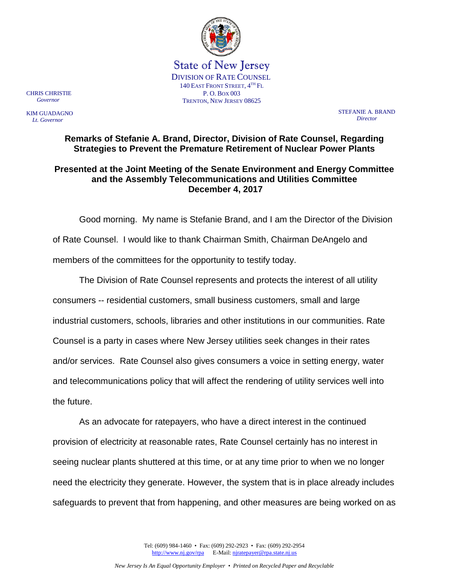

State of New Jersey DIVISION OF RATE COUNSEL 140 EAST FRONT STREET, 4TH FL P. O. BOX 003 TRENTON, NEW JERSEY 08625

CHRIS CHRISTIE  *Governor*

KIM GUADAGNO  *Lt. Governor*

STEFANIE A. BRAND *Director*

# **Remarks of Stefanie A. Brand, Director, Division of Rate Counsel, Regarding Strategies to Prevent the Premature Retirement of Nuclear Power Plants**

# **Presented at the Joint Meeting of the Senate Environment and Energy Committee and the Assembly Telecommunications and Utilities Committee December 4, 2017**

Good morning. My name is Stefanie Brand, and I am the Director of the Division of Rate Counsel. I would like to thank Chairman Smith, Chairman DeAngelo and members of the committees for the opportunity to testify today.

The Division of Rate Counsel represents and protects the interest of all utility consumers -- residential customers, small business customers, small and large industrial customers, schools, libraries and other institutions in our communities. Rate Counsel is a party in cases where New Jersey utilities seek changes in their rates and/or services. Rate Counsel also gives consumers a voice in setting energy, water and telecommunications policy that will affect the rendering of utility services well into the future.

As an advocate for ratepayers, who have a direct interest in the continued provision of electricity at reasonable rates, Rate Counsel certainly has no interest in seeing nuclear plants shuttered at this time, or at any time prior to when we no longer need the electricity they generate. However, the system that is in place already includes safeguards to prevent that from happening, and other measures are being worked on as

> Tel: (609) 984-1460 • Fax: (609) 292-2923 • Fax: (609) 292-2954 [http://www.nj.gov/rpa](http://www.state.nj.us/publicadvocate/utility) E-Mail[: njratepayer@rpa.state.nj.us](mailto:njratepayer@rpa.state.nj.us)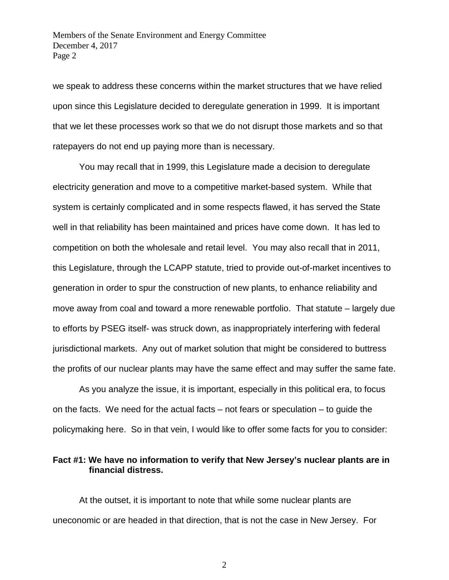we speak to address these concerns within the market structures that we have relied upon since this Legislature decided to deregulate generation in 1999. It is important that we let these processes work so that we do not disrupt those markets and so that ratepayers do not end up paying more than is necessary.

You may recall that in 1999, this Legislature made a decision to deregulate electricity generation and move to a competitive market-based system. While that system is certainly complicated and in some respects flawed, it has served the State well in that reliability has been maintained and prices have come down. It has led to competition on both the wholesale and retail level. You may also recall that in 2011, this Legislature, through the LCAPP statute, tried to provide out-of-market incentives to generation in order to spur the construction of new plants, to enhance reliability and move away from coal and toward a more renewable portfolio. That statute – largely due to efforts by PSEG itself- was struck down, as inappropriately interfering with federal jurisdictional markets. Any out of market solution that might be considered to buttress the profits of our nuclear plants may have the same effect and may suffer the same fate.

As you analyze the issue, it is important, especially in this political era, to focus on the facts. We need for the actual facts – not fears or speculation – to guide the policymaking here. So in that vein, I would like to offer some facts for you to consider:

### **Fact #1: We have no information to verify that New Jersey's nuclear plants are in financial distress.**

At the outset, it is important to note that while some nuclear plants are uneconomic or are headed in that direction, that is not the case in New Jersey. For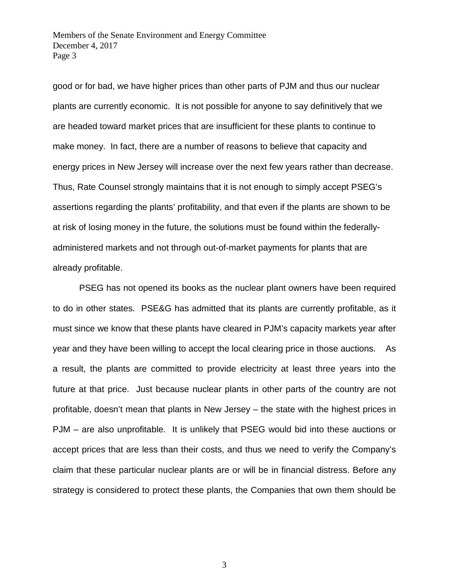good or for bad, we have higher prices than other parts of PJM and thus our nuclear plants are currently economic. It is not possible for anyone to say definitively that we are headed toward market prices that are insufficient for these plants to continue to make money. In fact, there are a number of reasons to believe that capacity and energy prices in New Jersey will increase over the next few years rather than decrease. Thus, Rate Counsel strongly maintains that it is not enough to simply accept PSEG's assertions regarding the plants' profitability, and that even if the plants are shown to be at risk of losing money in the future, the solutions must be found within the federallyadministered markets and not through out-of-market payments for plants that are already profitable.

PSEG has not opened its books as the nuclear plant owners have been required to do in other states. PSE&G has admitted that its plants are currently profitable, as it must since we know that these plants have cleared in PJM's capacity markets year after year and they have been willing to accept the local clearing price in those auctions. As a result, the plants are committed to provide electricity at least three years into the future at that price. Just because nuclear plants in other parts of the country are not profitable, doesn't mean that plants in New Jersey – the state with the highest prices in PJM – are also unprofitable. It is unlikely that PSEG would bid into these auctions or accept prices that are less than their costs, and thus we need to verify the Company's claim that these particular nuclear plants are or will be in financial distress. Before any strategy is considered to protect these plants, the Companies that own them should be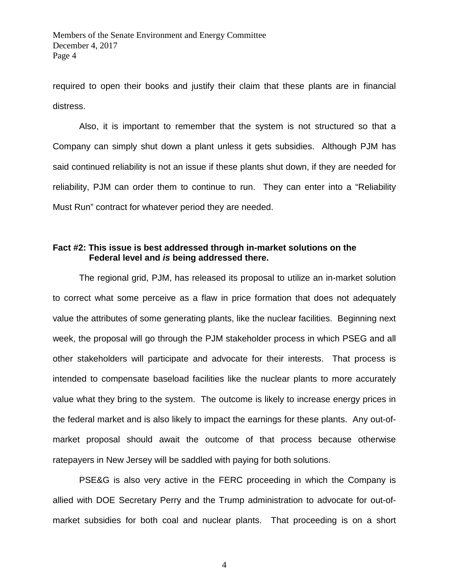required to open their books and justify their claim that these plants are in financial distress.

Also, it is important to remember that the system is not structured so that a Company can simply shut down a plant unless it gets subsidies. Although PJM has said continued reliability is not an issue if these plants shut down, if they are needed for reliability, PJM can order them to continue to run. They can enter into a "Reliability Must Run" contract for whatever period they are needed.

# **Fact #2: This issue is best addressed through in-market solutions on the Federal level and** *is* **being addressed there.**

The regional grid, PJM, has released its proposal to utilize an in-market solution to correct what some perceive as a flaw in price formation that does not adequately value the attributes of some generating plants, like the nuclear facilities. Beginning next week, the proposal will go through the PJM stakeholder process in which PSEG and all other stakeholders will participate and advocate for their interests. That process is intended to compensate baseload facilities like the nuclear plants to more accurately value what they bring to the system. The outcome is likely to increase energy prices in the federal market and is also likely to impact the earnings for these plants. Any out-ofmarket proposal should await the outcome of that process because otherwise ratepayers in New Jersey will be saddled with paying for both solutions.

PSE&G is also very active in the FERC proceeding in which the Company is allied with DOE Secretary Perry and the Trump administration to advocate for out-ofmarket subsidies for both coal and nuclear plants. That proceeding is on a short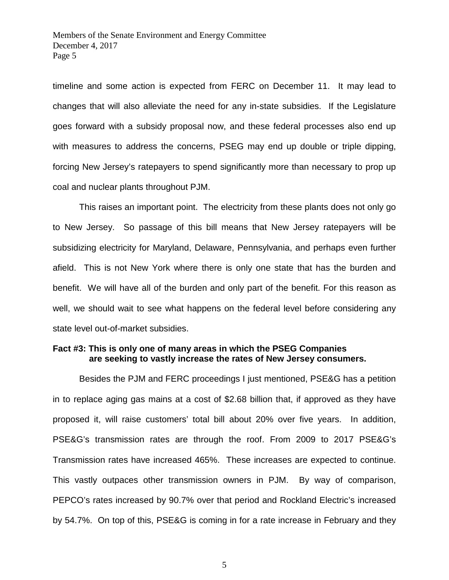timeline and some action is expected from FERC on December 11. It may lead to changes that will also alleviate the need for any in-state subsidies. If the Legislature goes forward with a subsidy proposal now, and these federal processes also end up with measures to address the concerns, PSEG may end up double or triple dipping, forcing New Jersey's ratepayers to spend significantly more than necessary to prop up coal and nuclear plants throughout PJM.

This raises an important point. The electricity from these plants does not only go to New Jersey. So passage of this bill means that New Jersey ratepayers will be subsidizing electricity for Maryland, Delaware, Pennsylvania, and perhaps even further afield. This is not New York where there is only one state that has the burden and benefit. We will have all of the burden and only part of the benefit. For this reason as well, we should wait to see what happens on the federal level before considering any state level out-of-market subsidies.

### **Fact #3: This is only one of many areas in which the PSEG Companies are seeking to vastly increase the rates of New Jersey consumers.**

Besides the PJM and FERC proceedings I just mentioned, PSE&G has a petition in to replace aging gas mains at a cost of \$2.68 billion that, if approved as they have proposed it, will raise customers' total bill about 20% over five years. In addition, PSE&G's transmission rates are through the roof. From 2009 to 2017 PSE&G's Transmission rates have increased 465%. These increases are expected to continue. This vastly outpaces other transmission owners in PJM. By way of comparison, PEPCO's rates increased by 90.7% over that period and Rockland Electric's increased by 54.7%. On top of this, PSE&G is coming in for a rate increase in February and they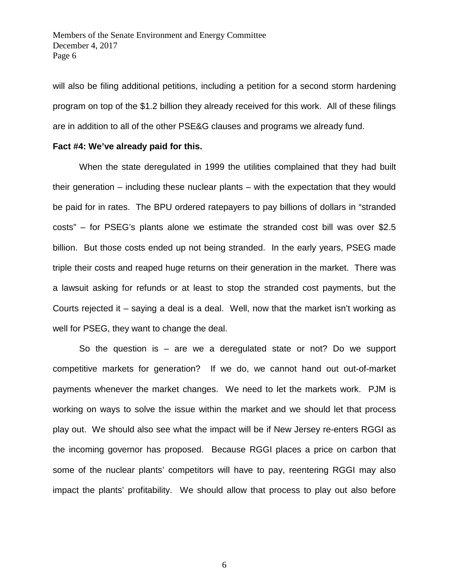will also be filing additional petitions, including a petition for a second storm hardening program on top of the \$1.2 billion they already received for this work. All of these filings are in addition to all of the other PSE&G clauses and programs we already fund.

#### **Fact #4: We've already paid for this.**

When the state deregulated in 1999 the utilities complained that they had built their generation – including these nuclear plants – with the expectation that they would be paid for in rates. The BPU ordered ratepayers to pay billions of dollars in "stranded costs" – for PSEG's plants alone we estimate the stranded cost bill was over \$2.5 billion. But those costs ended up not being stranded. In the early years, PSEG made triple their costs and reaped huge returns on their generation in the market. There was a lawsuit asking for refunds or at least to stop the stranded cost payments, but the Courts rejected it – saying a deal is a deal. Well, now that the market isn't working as well for PSEG, they want to change the deal.

So the question is  $-$  are we a deregulated state or not? Do we support competitive markets for generation? If we do, we cannot hand out out-of-market payments whenever the market changes. We need to let the markets work. PJM is working on ways to solve the issue within the market and we should let that process play out. We should also see what the impact will be if New Jersey re-enters RGGI as the incoming governor has proposed. Because RGGI places a price on carbon that some of the nuclear plants' competitors will have to pay, reentering RGGI may also impact the plants' profitability. We should allow that process to play out also before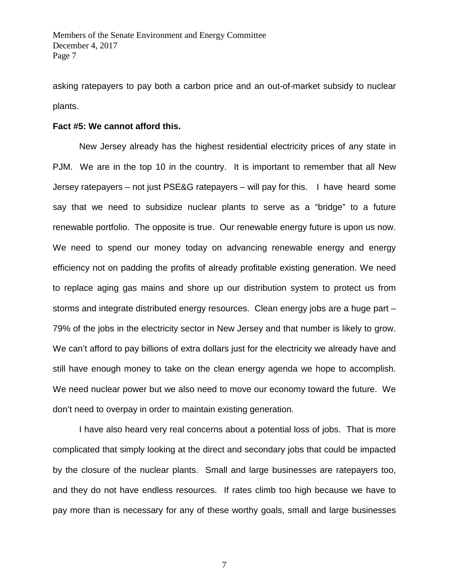asking ratepayers to pay both a carbon price and an out-of-market subsidy to nuclear plants.

#### **Fact #5: We cannot afford this.**

New Jersey already has the highest residential electricity prices of any state in PJM. We are in the top 10 in the country. It is important to remember that all New Jersey ratepayers – not just PSE&G ratepayers – will pay for this. I have heard some say that we need to subsidize nuclear plants to serve as a "bridge" to a future renewable portfolio. The opposite is true. Our renewable energy future is upon us now. We need to spend our money today on advancing renewable energy and energy efficiency not on padding the profits of already profitable existing generation. We need to replace aging gas mains and shore up our distribution system to protect us from storms and integrate distributed energy resources. Clean energy jobs are a huge part – 79% of the jobs in the electricity sector in New Jersey and that number is likely to grow. We can't afford to pay billions of extra dollars just for the electricity we already have and still have enough money to take on the clean energy agenda we hope to accomplish. We need nuclear power but we also need to move our economy toward the future. We don't need to overpay in order to maintain existing generation.

 I have also heard very real concerns about a potential loss of jobs. That is more complicated that simply looking at the direct and secondary jobs that could be impacted by the closure of the nuclear plants. Small and large businesses are ratepayers too, and they do not have endless resources. If rates climb too high because we have to pay more than is necessary for any of these worthy goals, small and large businesses